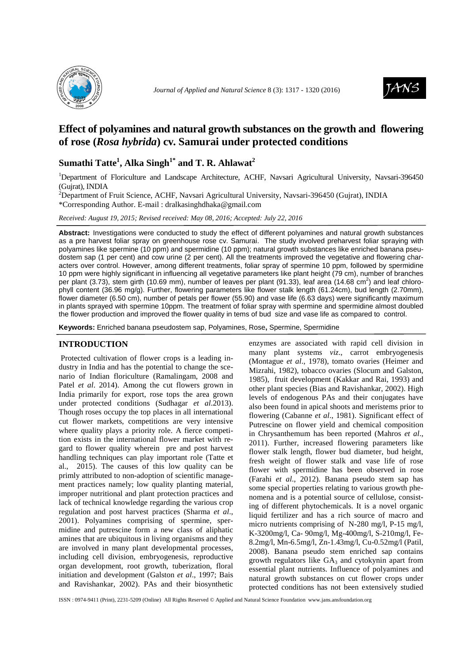



# **Effect of polyamines and natural growth substances on the growth and flowering of rose (***Rosa hybrida***) cv. Samurai under protected conditions**

## **Sumathi Tatte<sup>1</sup> , Alka Singh1\* and T. R. Ahlawat<sup>2</sup>**

<sup>1</sup>Department of Floriculture and Landscape Architecture, ACHF, Navsari Agricultural University, Navsari-396450 (Gujrat), INDIA

<sup>2</sup>Department of Fruit Science, ACHF, Navsari Agricultural University, Navsari-396450 (Gujrat), INDIA \*Corresponding Author. E-mail : dralkasinghdhaka@gmail.com

*Received: August 19, 2015; Revised received: May 08, 2016; Accepted: July 22, 2016*

**Abstract:** Investigations were conducted to study the effect of different polyamines and natural growth substances as a pre harvest foliar spray on greenhouse rose cv. Samurai. The study involved preharvest foliar spraying with polyamines like spermine (10 ppm) and spermidine (10 ppm); natural growth substances like enriched banana pseudostem sap (1 per cent) and cow urine (2 per cent). All the treatments improved the vegetative and flowering characters over control. However, among different treatments, foliar spray of spermine 10 ppm, followed by spermidine 10 ppm were highly significant in influencing all vegetative parameters like plant height (79 cm), number of branches per plant (3.73), stem girth (10.69 mm), number of leaves per plant (91.33), leaf area (14.68 cm<sup>2</sup>) and leaf chlorophyll content (36.96 mg/g). Further, flowering parameters like flower stalk length (61.24cm), bud length (2.70mm), flower diameter (6.50 cm), number of petals per flower (55.90) and vase life (6.63 days) were significantly maximum in plants sprayed with spermine 10ppm. The treatment of foliar spray with spermine and spermidine almost doubled the flower production and improved the flower quality in tems of bud size and vase life as compared to control.

**Keywords:** Enriched banana pseudostem sap, Polyamines, Rose**,** Spermine, Spermidine

### **INTRODUCTION**

 Protected cultivation of flower crops is a leading industry in India and has the potential to change the scenario of Indian floriculture (Ramalingam, 2008 and Patel *et al*. 2014). Among the cut flowers grown in India primarily for export, rose tops the area grown under protected conditions (Sudhagar *et al*.2013). Though roses occupy the top places in all international cut flower markets, competitions are very intensive where quality plays a priority role. A fierce competition exists in the international flower market with regard to flower quality wherein pre and post harvest handling techniques can play important role (Tatte et al., 2015). The causes of this low quality can be primly attributed to non-adoption of scientific management practices namely; low quality planting material, improper nutritional and plant protection practices and lack of technical knowledge regarding the various crop regulation and post harvest practices (Sharma *et al*., 2001). Polyamines comprising of spermine, spermidine and putrescine form a new class of aliphatic amines that are ubiquitous in living organisms and they are involved in many plant developmental processes, including cell division, embryogenesis, reproductive organ development, root growth, tuberization, floral initiation and development (Galston *et al*., 1997; Bais and Ravishankar, 2002). PAs and their biosynthetic

enzymes are associated with rapid cell division in many plant systems *viz*., carrot embryogenesis (Montague *et al*., 1978), tomato ovaries (Heimer and Mizrahi, 1982), tobacco ovaries (Slocum and Galston, 1985), fruit development (Kakkar and Rai, 1993) and other plant species (Bias and Ravishankar, 2002). High levels of endogenous PAs and their conjugates have also been found in apical shoots and meristems prior to flowering (Cabanne *et al*., 1981). Significant effect of Putrescine on flower yield and chemical composition in Chrysanthemum has been reported (Mahros *et al*., 2011). Further, increased flowering parameters like flower stalk length, flower bud diameter, bud height, fresh weight of flower stalk and vase life of rose flower with spermidine has been observed in rose (Farahi *et al*., 2012). Banana pseudo stem sap has some special properties relating to various growth phenomena and is a potential source of cellulose, consisting of different phytochemicals. It is a novel organic liquid fertilizer and has a rich source of macro and micro nutrients comprising of N-280 mg/l, P-15 mg/l, K-3200mg/l, Ca- 90mg/l, Mg-400mg/l, S-210mg/l, Fe-8.2mg/l, Mn-6.5mg/l, Zn-1.43mg/l, Cu-0.52mg/l (Patil, 2008). Banana pseudo stem enriched sap contains growth regulators like  $GA_3$  and cytokynin apart from essential plant nutrients. Influence of polyamines and natural growth substances on cut flower crops under protected conditions has not been extensively studied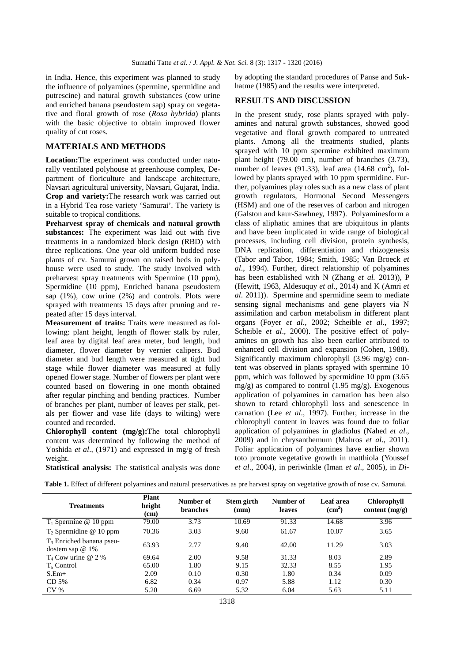in India. Hence, this experiment was planned to study the influence of polyamines (spermine, spermidine and putrescine) and natural growth substances (cow urine and enriched banana pseudostem sap) spray on vegetative and floral growth of rose (*Rosa hybrida*) plants with the basic objective to obtain improved flower quality of cut roses.

### **MATERIALS AND METHODS**

**Location:**The experiment was conducted under naturally ventilated polyhouse at greenhouse complex, Department of floriculture and landscape architecture, Navsari agricultural university, Navsari, Gujarat, India. **Crop and variety:**The research work was carried out in a Hybrid Tea rose variety 'Samurai'. The variety is suitable to tropical conditions.

**Preharvest spray of chemicals and natural growth substances:** The experiment was laid out with five treatments in a randomized block design (RBD) with three replications. One year old uniform budded rose plants of cv. Samurai grown on raised beds in polyhouse were used to study. The study involved with preharvest spray treatments with Spermine (10 ppm), Spermidine (10 ppm), Enriched banana pseudostem sap (1%), cow urine (2%) and controls. Plots were sprayed with treatments 15 days after pruning and repeated after 15 days interval.

**Measurement of traits:** Traits were measured as following: plant height, length of flower stalk by ruler, leaf area by digital leaf area meter, bud length, bud diameter, flower diameter by vernier calipers. Bud diameter and bud length were measured at tight bud stage while flower diameter was measured at fully opened flower stage. Number of flowers per plant were counted based on flowering in one month obtained after regular pinching and bending practices. Number of branches per plant, number of leaves per stalk, petals per flower and vase life (days to wilting) were counted and recorded.

**Chlorophyll content (mg/g):**The total chlorophyll content was determined by following the method of Yoshida *et al.*, (1971) and expressed in mg/g of fresh weight.

**Statistical analysis:** The statistical analysis was done

by adopting the standard procedures of Panse and Sukhatme (1985) and the results were interpreted.

#### **RESULTS AND DISCUSSION**

In the present study, rose plants sprayed with polyamines and natural growth substances, showed good vegetative and floral growth compared to untreated plants. Among all the treatments studied, plants sprayed with 10 ppm spermine exhibited maximum plant height (79.00 cm), number of branches (3.73), number of leaves (91.33), leaf area  $(14.68 \text{ cm}^2)$ , followed by plants sprayed with 10 ppm spermidine. Further, polyamines play roles such as a new class of plant growth regulators, Hormonal Second Messengers (HSM) and one of the reserves of carbon and nitrogen (Galston and kaur-Sawhney, 1997). Polyaminesform a class of aliphatic amines that are ubiquitous in plants and have been implicated in wide range of biological processes, including cell division, protein synthesis, DNA replication, differentiation and rhizogenesis (Tabor and Tabor, 1984; Smith, 1985; Van Broeck *et al*., 1994). Further, direct relationship of polyamines has been established with N (Zhang *et al.* 2013)), P (Hewitt, 1963, Aldesuquy *et al*., 2014) and K (Amri *et al*. 2011)). Spermine and spermidine seem to mediate sensing signal mechanisms and gene players via N assimilation and carbon metabolism in different plant organs (Foyer *et al*., 2002; Scheible *et al*., 1997; Scheible *et al*., 2000). The positive effect of polyamines on growth has also been earlier attributed to enhanced cell division and expansion (Cohen, 1988). Significantly maximum chlorophyll (3.96 mg/g) content was observed in plants sprayed with spermine 10 ppm, which was followed by spermidine 10 ppm (3.65  $mg/g$ ) as compared to control (1.95 mg/g). Exogenous application of polyamines in carnation has been also shown to retard chlorophyll loss and senescence in carnation (Lee *et al*., 1997). Further, increase in the chlorophyll content in leaves was found due to foliar application of polyamines in gladiolus (Nahed *et al*., 2009) and in chrysanthemum (Mahros *et al*., 2011). Foliar application of polyamines have earlier shown toto promote vegetative growth in matthiola (Youssef *et al*., 2004), in periwinkle (Iman *et al*., 2005), in *Di-*

| <b>Treatments</b>                              | <b>Plant</b><br>height<br>(cm) | Number of<br><b>branches</b> | Stem girth<br>(mm) | Number of<br>leaves | Leaf area<br>(cm <sup>2</sup> ) | <b>Chlorophyll</b><br>content $(mg/g)$ |
|------------------------------------------------|--------------------------------|------------------------------|--------------------|---------------------|---------------------------------|----------------------------------------|
| $T_1$ Spermine @ 10 ppm                        | 79.00                          | 3.73                         | 10.69              | 91.33               | 14.68                           | 3.96                                   |
| $T2$ Spermidine @ 10 ppm                       | 70.36                          | 3.03                         | 9.60               | 61.67               | 10.07                           | 3.65                                   |
| $T_3$ Enriched banana pseu-<br>dostem sap @ 1% | 63.93                          | 2.77                         | 9.40               | 42.00               | 11.29                           | 3.03                                   |
| $T_4$ Cow urine @ 2 %                          | 69.64                          | 2.00                         | 9.58               | 31.33               | 8.03                            | 2.89                                   |
| T <sub>5</sub> Control                         | 65.00                          | 1.80                         | 9.15               | 32.33               | 8.55                            | 1.95                                   |

S.Em<sub> $\pm$ </sub> 2.09 0.10 0.30 1.80 0.34 0.09 CD 5% 6.82 0.34 0.97 5.88 1.12 0.30 CV % 5.20 6.69 5.32 6.04 5.63 5.11

**Table 1.** Effect of different polyamines and natural preservatives as pre harvest spray on vegetative growth of rose cv. Samurai.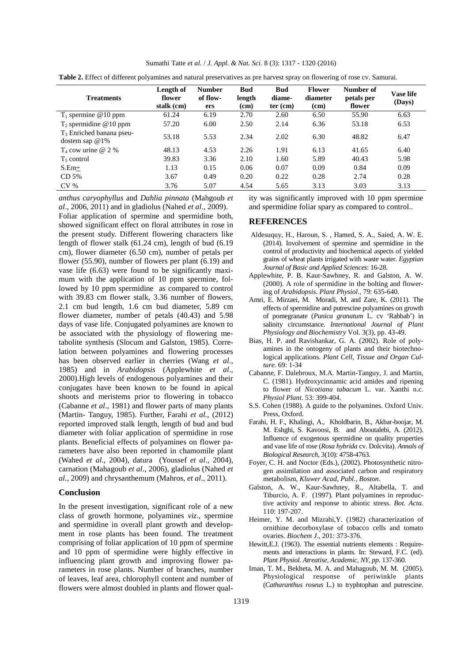| Sumathi Tatte et al. / J. Appl. & Nat. Sci. 8 (3): 1317 - 1320 (2016) |  |  |  |
|-----------------------------------------------------------------------|--|--|--|
|-----------------------------------------------------------------------|--|--|--|

**Table 2.** Effect of different polyamines and natural preservatives as pre harvest spray on flowering of rose cv. Samurai.

| <b>Treatments</b>                                | Length of<br>flower<br>stalk (cm) | <b>Number</b><br>of flow-<br>ers | <b>Bud</b><br>length<br>(cm) | <b>Bud</b><br>diame-<br>$ter$ (cm) | <b>Flower</b><br>diameter<br>(cm) | Number of<br>petals per<br>flower | <b>Vase life</b><br>(Days) |
|--------------------------------------------------|-----------------------------------|----------------------------------|------------------------------|------------------------------------|-----------------------------------|-----------------------------------|----------------------------|
| $T_1$ spermine @10 ppm                           | 61.24                             | 6.19                             | 2.70                         | 2.60                               | 6.50                              | 55.90                             | 6.63                       |
| $T_2$ spermidine @10 ppm                         | 57.20                             | 6.00                             | 2.50                         | 2.14                               | 6.36                              | 53.18                             | 6.53                       |
| $T_3$ Enriched banana pseu-<br>dostem sap $@1\%$ | 53.18                             | 5.53                             | 2.34                         | 2.02                               | 6.30                              | 48.82                             | 6.47                       |
| $T_4$ cow urine @ 2 %                            | 48.13                             | 4.53                             | 2.26                         | 1.91                               | 6.13                              | 41.65                             | 6.40                       |
| $T_5$ control                                    | 39.83                             | 3.36                             | 2.10                         | 1.60                               | 5.89                              | 40.43                             | 5.98                       |
| $S.Em+$                                          | 1.13                              | 0.15                             | 0.06                         | 0.07                               | 0.09                              | 0.84                              | 0.09                       |
| CD <sub>5%</sub>                                 | 3.67                              | 0.49                             | 0.20                         | 0.22                               | 0.28                              | 2.74                              | 0.28                       |
| CV <sub>0</sub>                                  | 3.76                              | 5.07                             | 4.54                         | 5.65                               | 3.13                              | 3.03                              | 3.13                       |

*anthus caryophyllus* and *Dahlia pinnata* (Mahgoub *et al*., 2006, 2011) and in gladiolus (Nahed *et al*., 2009).

Foliar application of spermine and spermidine both, showed significant effect on floral attributes in rose in the present study. Different flowering characters like length of flower stalk (61.24 cm), length of bud (6.19 cm), flower diameter (6.50 cm), number of petals per flower (55.90), number of flowers per plant (6.19) and vase life (6.63) were found to be significantly maximum with the application of 10 ppm spermine, followed by 10 ppm spermidine as compared to control with 39.83 cm flower stalk, 3.36 number of flowers, 2.1 cm bud length, 1.6 cm bud diameter, 5.89 cm flower diameter, number of petals (40.43) and 5.98 days of vase life. Conjugated polyamines are known to be associated with the physiology of flowering metabolite synthesis (Slocum and Galston, 1985). Correlation between polyamines and flowering processes has been observed earlier in cherries (Wang *et al*., 1985) and in *Arabidopsis* (Applewhite *et al*., 2000).High levels of endogenous polyamines and their conjugates have been known to be found in apical shoots and meristems prior to flowering in tobacco (Cabanne *et al*., 1981) and flower parts of many plants (Martin- Tanguy, 1985). Further, Farahi *et al*., (2012) reported improved stalk length, length of bud and bud diameter with foliar application of spermidine in rose plants. Beneficial effects of polyamines on flower parameters have also been reported in chamomile plant (Wahed *et al*., 2004), datura (Youssef *et al*., 2004), carnation (Mahagoub *et al*., 2006), gladiolus (Nahed *et al*., 2009) and chrysanthemum (Mahros, *et al*., 2011).

#### **Conclusion**

In the present investigation, significant role of a new class of growth hormone, polyamines *viz*., spermine and spermidine in overall plant growth and development in rose plants has been found. The treatment comprising of foliar application of 10 ppm of spermine and 10 ppm of spermidine were highly effective in influencing plant growth and improving flower parameters in rose plants. Number of branches, number of leaves, leaf area, chlorophyll content and number of flowers were almost doubled in plants and flower quality was significantly improved with 10 ppm spermine and spermidine foliar spary as compared to control..

### **REFERENCES**

- Aldesuquy, H., Haroun, S. , Hamed, S. A., Saied, A. W. E. (2014). Involvement of spermine and spermidine in the control of productivity and biochemical aspects of yielded grains of wheat plants irrigated with waste water. *Egyptian Journal of Basic and Applied Sciences*: 16-28.
- Applewhite, P. B. Kaur-Sawhney, R. and Galston, A. W. (2000). A role of spermidine in the bolting and flowering of *Arabidopsis*. *Plant Physiol*., 79: 635-640.
- Amri, E. Mirzaei, M. Moradi, M. and Zare, K. (2011). The effects of spermidine and putrescine polyamines on growth of pomegranate (*Punica granatum* L. cv 'Rabbab') in salinity circumstance. *International Journal of Plant Physiology and Biochemistry* Vol. 3(3), pp. 43-49.
- Bias, H. P. and Ravishankar, G. A. (2002). Role of polyamines in the ontogeny of plants and their biotechnological applications. *Plant Cell, Tissue and Organ Culture.* 69: 1-34
- Cabanne, F. Dalebroux, M.A. Martin-Tanguy, J. and Martin, C. (1981). Hydroxycinnamic acid amides and ripening to flower of *Nicotiana tabacum* L. var. Xanthi n.c. *Physiol Plant*. 53: 399-404.
- S.S. Cohen (1988). A guide to the polyamines. Oxford Univ. Press, Oxford.
- Farahi, H. F., Khalingi, A., Kholdbarin, B., Akbar-boojar, M. M. Eshghi, S. Kavoosi, B. and Aboutalebi, A. (2012). Influence of exogenous spermidine on quality properties and vase life of rose (*Rosa hybrida* cv. Dolcvita). *Annals of Biological Research*, 3(10): 4758-4763.
- Foyer, C. H. and Noctor (Eds.), (2002). Photosynthetic nitrogen assimilation and associated carbon and respiratory metabolism, *Kluwer Acad, Publ., Boston*.
- Galston, A. W., Kaur-Sawhney, R., Altabella, T. and Tiburcio, A. F. (1997). Plant polyamines in reproductive activity and response to abiotic stress. *Bot. Acta*. 110: 197-207.
- Heimer, Y. M. and Mizrahi,Y. (1982) characterization of ornithine decorboxylase of tobacco cells and tomato ovaries. *Biochem J*., 201: 373-376.
- Hewitt,E.J. (1963). The essential nutrients elements : Requirements and interactions in plants. In: Steward, F.C. (ed). *Plant Physiol. Atreatise, Academic, NY, pp*. 137-360.
- Iman, T. M., Bekheta, M. A. and Mahagoub, M. M. (2005). Physiological response of periwinkle plants (*Catharanthus roseus* L.) to tryphtophan and putrescine.